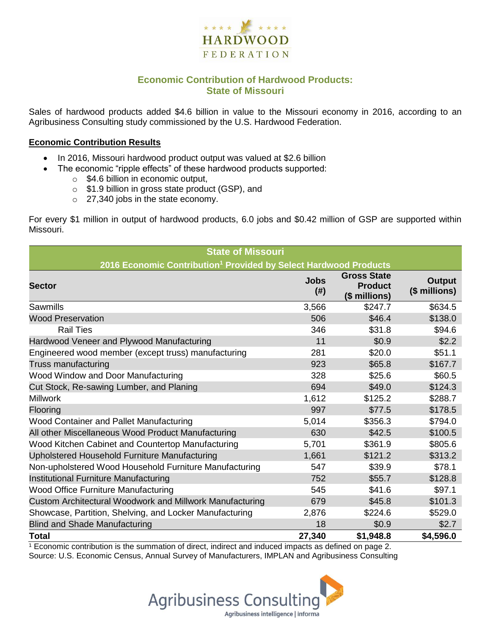

## **Economic Contribution of Hardwood Products: State of Missouri**

Sales of hardwood products added \$4.6 billion in value to the Missouri economy in 2016, according to an Agribusiness Consulting study commissioned by the U.S. Hardwood Federation.

#### **Economic Contribution Results**

- In 2016, Missouri hardwood product output was valued at \$2.6 billion
	- The economic "ripple effects" of these hardwood products supported:
		- o \$4.6 billion in economic output,
		- o \$1.9 billion in gross state product (GSP), and
		- o 27,340 jobs in the state economy.

For every \$1 million in output of hardwood products, 6.0 jobs and \$0.42 million of GSP are supported within Missouri.

| <b>State of Missouri</b>                                                     |                          |                                                       |                                |  |  |  |  |
|------------------------------------------------------------------------------|--------------------------|-------------------------------------------------------|--------------------------------|--|--|--|--|
| 2016 Economic Contribution <sup>1</sup> Provided by Select Hardwood Products |                          |                                                       |                                |  |  |  |  |
| <b>Sector</b>                                                                | <b>Jobs</b><br>$($ # $)$ | <b>Gross State</b><br><b>Product</b><br>(\$ millions) | <b>Output</b><br>(\$ millions) |  |  |  |  |
| Sawmills                                                                     | 3,566                    | \$247.7                                               | \$634.5                        |  |  |  |  |
| <b>Wood Preservation</b>                                                     | 506                      | \$46.4                                                | \$138.0                        |  |  |  |  |
| <b>Rail Ties</b>                                                             | 346                      | \$31.8                                                | \$94.6                         |  |  |  |  |
| Hardwood Veneer and Plywood Manufacturing                                    | 11                       | \$0.9                                                 | \$2.2                          |  |  |  |  |
| Engineered wood member (except truss) manufacturing                          | 281                      | \$20.0                                                | \$51.1                         |  |  |  |  |
| Truss manufacturing                                                          | 923                      | \$65.8                                                | \$167.7                        |  |  |  |  |
| Wood Window and Door Manufacturing                                           | 328                      | \$25.6                                                | \$60.5                         |  |  |  |  |
| Cut Stock, Re-sawing Lumber, and Planing                                     | 694                      | \$49.0                                                | \$124.3                        |  |  |  |  |
| <b>Millwork</b>                                                              | 1,612                    | \$125.2                                               | \$288.7                        |  |  |  |  |
| Flooring                                                                     | 997                      | \$77.5                                                | \$178.5                        |  |  |  |  |
| Wood Container and Pallet Manufacturing                                      | 5,014                    | \$356.3                                               | \$794.0                        |  |  |  |  |
| All other Miscellaneous Wood Product Manufacturing                           | 630                      | \$42.5                                                | \$100.5                        |  |  |  |  |
| Wood Kitchen Cabinet and Countertop Manufacturing                            | 5,701                    | \$361.9                                               | \$805.6                        |  |  |  |  |
| Upholstered Household Furniture Manufacturing                                | 1,661                    | \$121.2                                               | \$313.2                        |  |  |  |  |
| Non-upholstered Wood Household Furniture Manufacturing                       | 547                      | \$39.9                                                | \$78.1                         |  |  |  |  |
| Institutional Furniture Manufacturing                                        | 752                      | \$55.7                                                | \$128.8                        |  |  |  |  |
| <b>Wood Office Furniture Manufacturing</b>                                   | 545                      | \$41.6                                                | \$97.1                         |  |  |  |  |
| Custom Architectural Woodwork and Millwork Manufacturing                     | 679                      | \$45.8                                                | \$101.3                        |  |  |  |  |
| Showcase, Partition, Shelving, and Locker Manufacturing                      | 2,876                    | \$224.6                                               | \$529.0                        |  |  |  |  |
| <b>Blind and Shade Manufacturing</b>                                         | 18                       | \$0.9                                                 | \$2.7                          |  |  |  |  |
| <b>Total</b>                                                                 | 27,340                   | \$1,948.8                                             | \$4,596.0                      |  |  |  |  |

 $1$  Economic contribution is the summation of direct, indirect and induced impacts as defined on page 2. Source: U.S. Economic Census, Annual Survey of Manufacturers, IMPLAN and Agribusiness Consulting